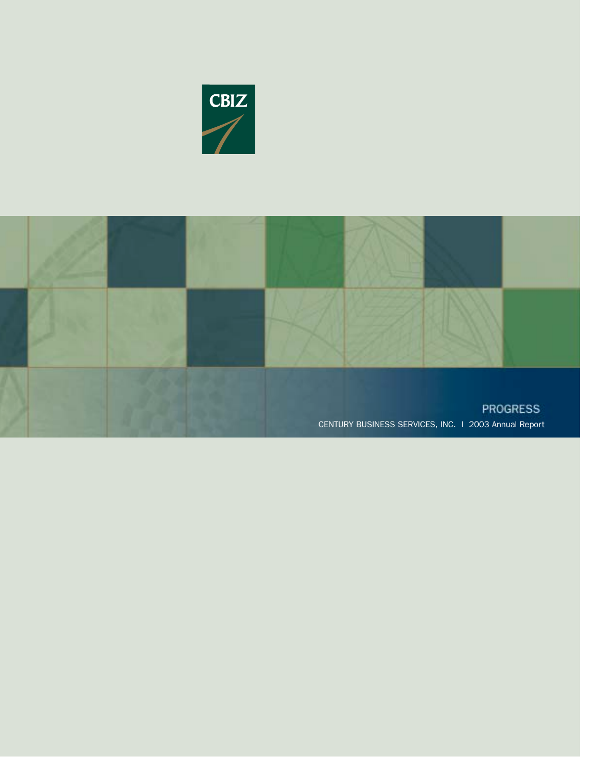

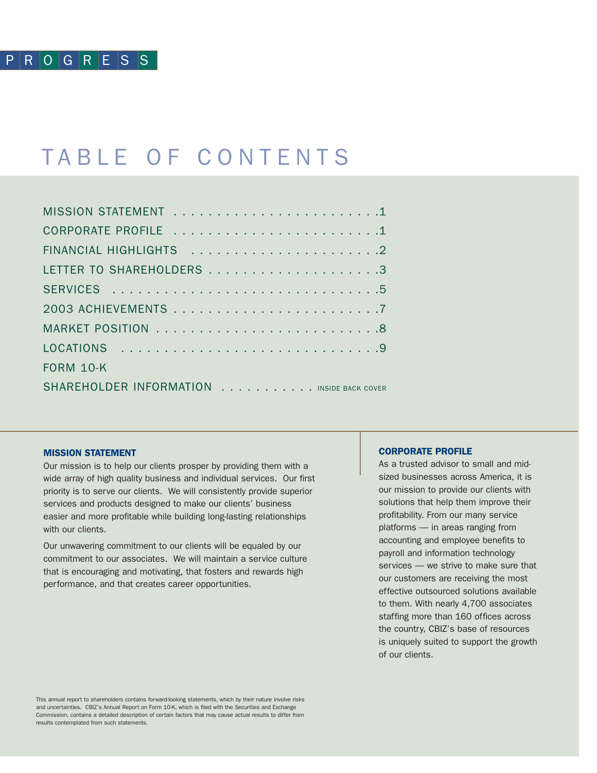## TABLE OF CONTENTS

| <b>FORM 10-K</b>                          |
|-------------------------------------------|
| SHAREHOLDER INFORMATION INSIDE BACK COVER |

### MISSION STATEMENT

Our mission is to help our clients prosper by providing them with a wide array of high quality business and individual services. Our first priority is to serve our clients. We will consistently provide superior services and products designed to make our clients' business easier and more profitable while building long-lasting relationships with our clients.

Our unwavering commitment to our clients will be equaled by our commitment to our associates. We will maintain a service culture that is encouraging and motivating, that fosters and rewards high performance, and that creates career opportunities.

### CORPORATE PROFILE

As a trusted advisor to small and midsized businesses across America, it is our mission to provide our clients with solutions that help them improve their profitability. From our many service platforms — in areas ranging from accounting and employee benefits to payroll and information technology services — we strive to make sure that our customers are receiving the most effective outsourced solutions available to them. With nearly 4,700 associates staffing more than 160 offices across the country, CBIZ's base of resources is uniquely suited to support the growth of our clients.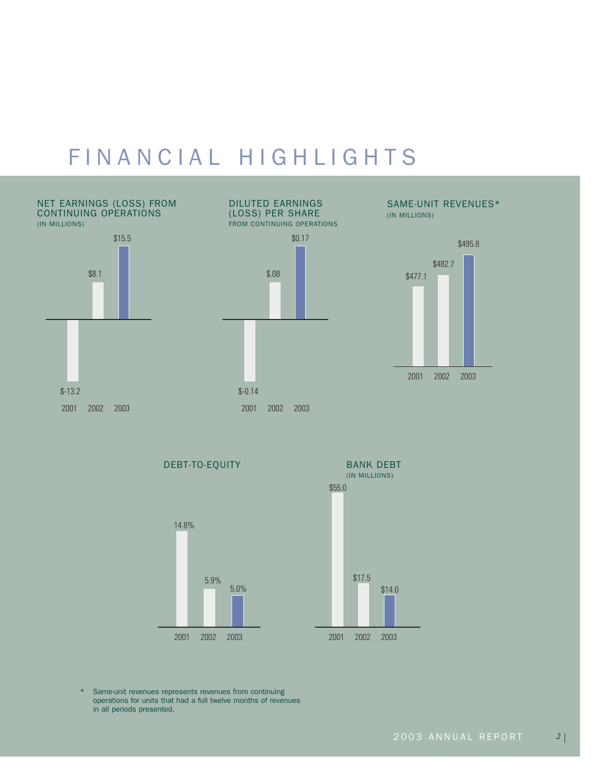# FINANCIAL HIGHLIGHTS



DEBT-TO-EQUITY



BANK DEBT (IN MILLIONS) 2001 2002 2003 \$55.0 \$17.5 \$14.0

\* Same-unit revenues represents revenues from continuing operations for units that had a full twelve months of revenues in all periods presented.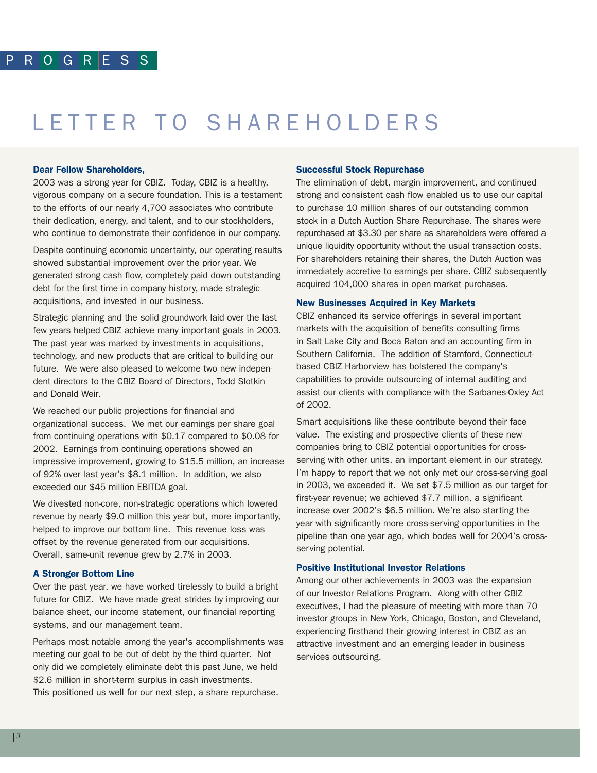# LETTER TO SHAREHOLDERS

### Dear Fellow Shareholders,

2003 was a strong year for CBIZ. Today, CBIZ is a healthy, vigorous company on a secure foundation. This is a testament to the efforts of our nearly 4,700 associates who contribute their dedication, energy, and talent, and to our stockholders, who continue to demonstrate their confidence in our company.

Despite continuing economic uncertainty, our operating results showed substantial improvement over the prior year. We generated strong cash flow, completely paid down outstanding debt for the first time in company history, made strategic acquisitions, and invested in our business.

Strategic planning and the solid groundwork laid over the last few years helped CBIZ achieve many important goals in 2003. The past year was marked by investments in acquisitions, technology, and new products that are critical to building our future. We were also pleased to welcome two new independent directors to the CBIZ Board of Directors, Todd Slotkin and Donald Weir.

We reached our public projections for financial and organizational success. We met our earnings per share goal from continuing operations with \$0.17 compared to \$0.08 for 2002. Earnings from continuing operations showed an impressive improvement, growing to \$15.5 million, an increase of 92% over last year's \$8.1 million. In addition, we also exceeded our \$45 million EBITDA goal.

We divested non-core, non-strategic operations which lowered revenue by nearly \$9.0 million this year but, more importantly, helped to improve our bottom line. This revenue loss was offset by the revenue generated from our acquisitions. Overall, same-unit revenue grew by 2.7% in 2003.

### A Stronger Bottom Line

Over the past year, we have worked tirelessly to build a bright future for CBIZ. We have made great strides by improving our balance sheet, our income statement, our financial reporting systems, and our management team.

Perhaps most notable among the year's accomplishments was meeting our goal to be out of debt by the third quarter. Not only did we completely eliminate debt this past June, we held \$2.6 million in short-term surplus in cash investments. This positioned us well for our next step, a share repurchase.

### Successful Stock Repurchase

The elimination of debt, margin improvement, and continued strong and consistent cash flow enabled us to use our capital to purchase 10 million shares of our outstanding common stock in a Dutch Auction Share Repurchase. The shares were repurchased at \$3.30 per share as shareholders were offered a unique liquidity opportunity without the usual transaction costs. For shareholders retaining their shares, the Dutch Auction was immediately accretive to earnings per share. CBIZ subsequently acquired 104,000 shares in open market purchases.

### New Businesses Acquired in Key Markets

CBIZ enhanced its service offerings in several important markets with the acquisition of benefits consulting firms in Salt Lake City and Boca Raton and an accounting firm in Southern California. The addition of Stamford, Connecticutbased CBIZ Harborview has bolstered the company's capabilities to provide outsourcing of internal auditing and assist our clients with compliance with the Sarbanes-Oxley Act of 2002.

Smart acquisitions like these contribute beyond their face value. The existing and prospective clients of these new companies bring to CBIZ potential opportunities for crossserving with other units, an important element in our strategy. I'm happy to report that we not only met our cross-serving goal in 2003, we exceeded it. We set \$7.5 million as our target for first-year revenue; we achieved \$7.7 million, a significant increase over 2002's \$6.5 million. We're also starting the year with significantly more cross-serving opportunities in the pipeline than one year ago, which bodes well for 2004's crossserving potential.

### Positive Institutional Investor Relations

Among our other achievements in 2003 was the expansion of our Investor Relations Program. Along with other CBIZ executives, I had the pleasure of meeting with more than 70 investor groups in New York, Chicago, Boston, and Cleveland, experiencing firsthand their growing interest in CBIZ as an attractive investment and an emerging leader in business services outsourcing.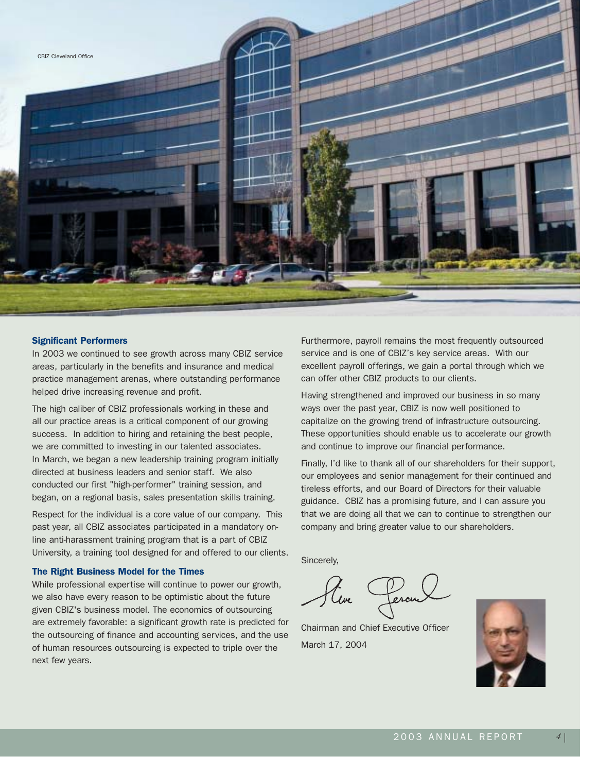

### Significant Performers

In 2003 we continued to see growth across many CBIZ service areas, particularly in the benefits and insurance and medical practice management arenas, where outstanding performance helped drive increasing revenue and profit.

The high caliber of CBIZ professionals working in these and all our practice areas is a critical component of our growing success. In addition to hiring and retaining the best people, we are committed to investing in our talented associates. In March, we began a new leadership training program initially directed at business leaders and senior staff. We also conducted our first "high-performer" training session, and began, on a regional basis, sales presentation skills training.

Respect for the individual is a core value of our company. This past year, all CBIZ associates participated in a mandatory online anti-harassment training program that is a part of CBIZ University, a training tool designed for and offered to our clients.

### The Right Business Model for the Times

While professional expertise will continue to power our growth, we also have every reason to be optimistic about the future given CBIZ's business model. The economics of outsourcing are extremely favorable: a significant growth rate is predicted for the outsourcing of finance and accounting services, and the use of human resources outsourcing is expected to triple over the next few years.

Furthermore, payroll remains the most frequently outsourced service and is one of CBIZ's key service areas. With our excellent payroll offerings, we gain a portal through which we can offer other CBIZ products to our clients.

Having strengthened and improved our business in so many ways over the past year, CBIZ is now well positioned to capitalize on the growing trend of infrastructure outsourcing. These opportunities should enable us to accelerate our growth and continue to improve our financial performance.

Finally, I'd like to thank all of our shareholders for their support, our employees and senior management for their continued and tireless efforts, and our Board of Directors for their valuable guidance. CBIZ has a promising future, and I can assure you that we are doing all that we can to continue to strengthen our company and bring greater value to our shareholders.

Sincerely,

Uve 1

Chairman and Chief Executive Officer March 17, 2004

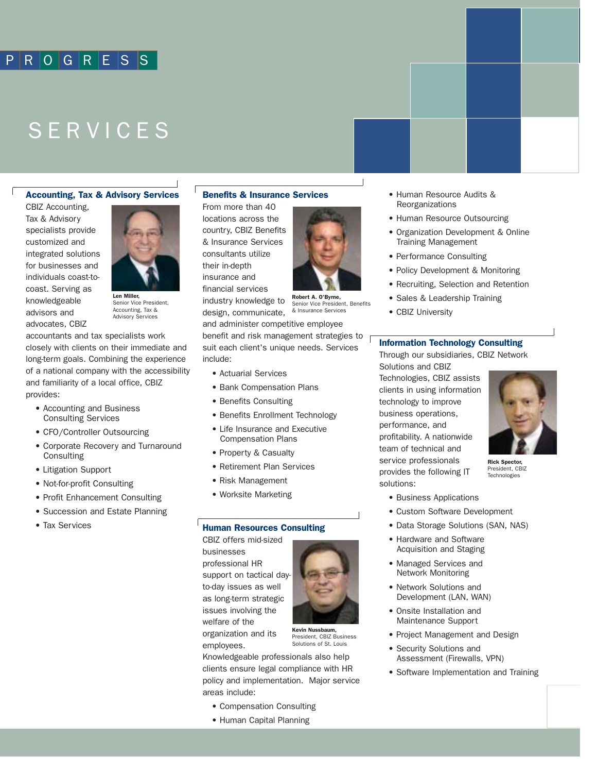### PROGRESS

## SERVICES

### Accounting, Tax & Advisory Services

CBIZ Accounting, Tax & Advisory specialists provide customized and integrated solutions for businesses and individuals coast-tocoast. Serving as knowledgeable advisors and advocates, CBIZ



Len Miller, Senior Vice President, Accounting, Tax & Advisory Services

accountants and tax specialists work closely with clients on their immediate and long-term goals. Combining the experience of a national company with the accessibility and familiarity of a local office, CBIZ provides:

- Accounting and Business Consulting Services
- CFO/Controller Outsourcing
- Corporate Recovery and Turnaround Consulting
- Litigation Support
- Not-for-profit Consulting
- Profit Enhancement Consulting
- Succession and Estate Planning
- Tax Services

### Benefits & Insurance Services

From more than 40 locations across the country, CBIZ Benefits & Insurance Services consultants utilize their in-depth insurance and financial services industry knowledge to design, communicate,



Robert A. O'Byrne, Senior Vice President, Benefits & Insurance Services

and administer competitive employee benefit and risk management strategies to  $\sqrt{ }$ suit each client's unique needs. Services include:

- Actuarial Services
- Bank Compensation Plans
- Benefits Consulting
- Benefits Enrollment Technology
- Life Insurance and Executive Compensation Plans
- Property & Casualty
- Retirement Plan Services
- Risk Management
- Worksite Marketing

### Human Resources Consulting

CBIZ offers mid-sized businesses professional HR support on tactical day to-day issues as well as long-term strategic issues involving the welfare of the organization and its

employees.

Knowledgeable professionals also help clients ensure legal compliance with HR policy and implementation. Major service areas include:

- Compensation Consulting
- Human Capital Planning
- Human Resource Audits & Reorganizations
- Human Resource Outsourcing
- Organization Development & Online Training Management
- Performance Consulting
- Policy Development & Monitoring
- Recruiting, Selection and Retention
- Sales & Leadership Training
- CBIZ University

#### Information Technology Consulting

Through our subsidiaries, CBIZ Network Solutions and CBIZ

Technologies, CBIZ assists clients in using information technology to improve business operations, performance, and profitability. A nationwide team of technical and service professionals provides the following IT solutions:



Rick Spector, President, CBIZ Technologies

- Business Applications
- Custom Software Development
- Data Storage Solutions (SAN, NAS)
- Hardware and Software Acquisition and Staging
- Managed Services and Network Monitoring
- Network Solutions and Development (LAN, WAN)
- Onsite Installation and Maintenance Support
- Project Management and Design
- Security Solutions and Assessment (Firewalls, VPN)
- Software Implementation and Training



Kevin Nussbaum, President, CBIZ Business Solutions of St. Louis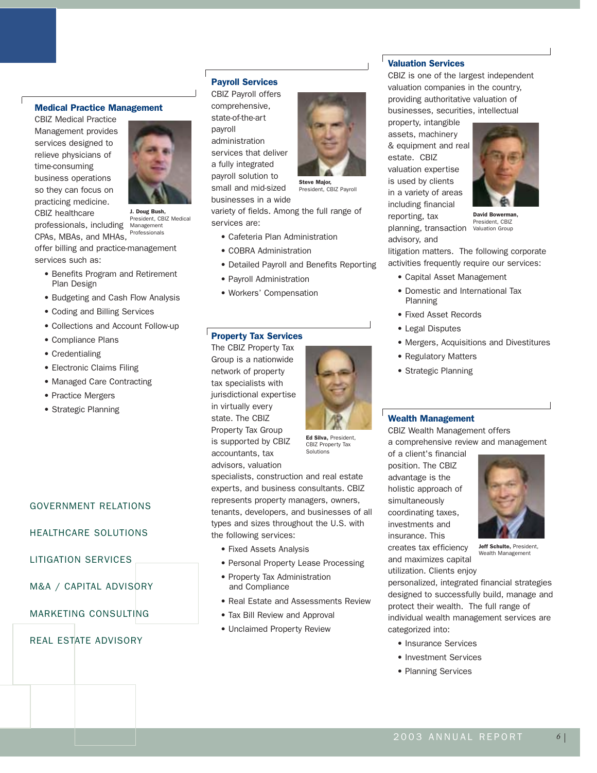### Medical Practice Management

CBIZ Medical Practice Management provides services designed to relieve physicians of time-consuming business operations so they can focus on practicing medicine. CBIZ healthcare



professionals, including Management CPAs, MBAs, and MHAs, J. Doug Bush, President, CBIZ Medical Professionals

offer billing and practice-management services such as:

- Benefits Program and Retirement Plan Design
- Budgeting and Cash Flow Analysis
- Coding and Billing Services
- Collections and Account Follow-up
- Compliance Plans
- Credentialing
- Electronic Claims Filing
- Managed Care Contracting
- Practice Mergers
- Strategic Planning

### GOVERNMENT RELATIONS

### HEALTHCARE SOLUTIONS

LITIGATION SERVICES

M&A / CAPITAL ADVISORY

MARKETING CONSULTING

REAL ESTATE ADVISORY

### Payroll Services

CBIZ Payroll offers comprehensive, state-of-the-art payroll administration services that deliver a fully integrated payroll solution to small and mid-sized businesses in a wide



President, CBIZ Payroll

variety of fields. Among the full range of services are:

- Cafeteria Plan Administration
- COBRA Administration
- Detailed Payroll and Benefits Reporting
- Payroll Administration
- Workers' Compensation

### Property Tax Services

The CBIZ Property Tax Group is a nationwide network of property tax specialists with jurisdictional expertise in virtually every state. The CBIZ Property Tax Group is supported by CBIZ accountants, tax advisors, valuation



Ed Silva, President, CBIZ Property Tax Solutions

specialists, construction and real estate experts, and business consultants. CBIZ represents property managers, owners, tenants, developers, and businesses of all types and sizes throughout the U.S. with the following services:

- Fixed Assets Analysis
- Personal Property Lease Processing
- Property Tax Administration and Compliance
- Real Estate and Assessments Review
- Tax Bill Review and Approval
- Unclaimed Property Review

### Valuation Services

CBIZ is one of the largest independent valuation companies in the country, providing authoritative valuation of businesses, securities, intellectual

property, intangible assets, machinery & equipment and real estate. CBIZ valuation expertise is used by clients in a variety of areas including financial reporting, tax planning, transaction advisory, and



David Bowerman, President, CBIZ Valuation Group

litigation matters. The following corporate activities frequently require our services:

- Capital Asset Management
- Domestic and International Tax Planning
- Fixed Asset Records
- Legal Disputes
- Mergers, Acquisitions and Divestitures
- Regulatory Matters
- Strategic Planning

### Wealth Management

CBIZ Wealth Management offers a comprehensive review and management

of a client's financial position. The CBIZ advantage is the holistic approach of simultaneously coordinating taxes, investments and insurance. This creates tax efficiency and maximizes capital

utilization. Clients enjoy



Jeff Schulte, President, Wealth Management

personalized, integrated financial strategies designed to successfully build, manage and protect their wealth. The full range of individual wealth management services are categorized into:

- Insurance Services
- Investment Services
- Planning Services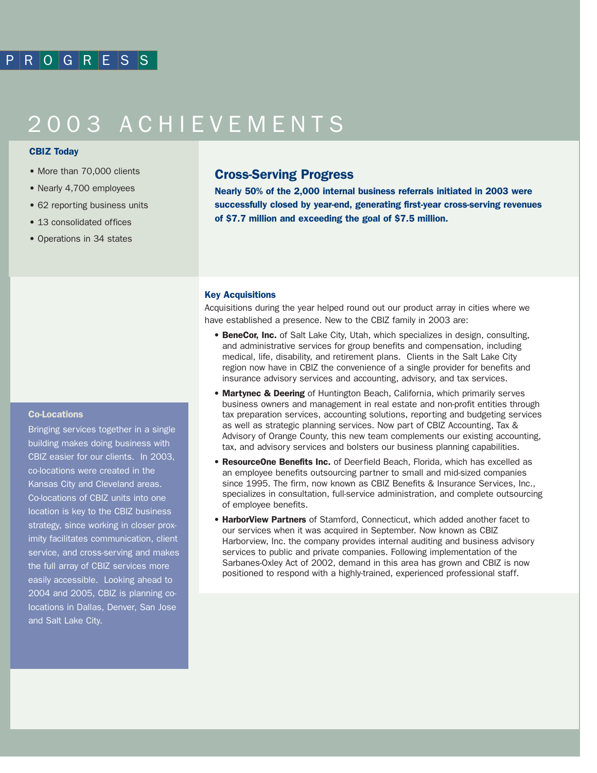# 2003 ACHIEVEMENTS

### CBIZ Today

- More than 70,000 clients
- Nearly 4,700 employees
- 62 reporting business units
- 13 consolidated offices
- Operations in 34 states

### Cross-Serving Progress

Nearly 50% of the 2,000 internal business referrals initiated in 2003 were successfully closed by year-end, generating first-year cross-serving revenues of \$7.7 million and exceeding the goal of \$7.5 million.

### Key Acquisitions

Acquisitions during the year helped round out our product array in cities where we have established a presence. New to the CBIZ family in 2003 are:

- **BeneCor, Inc.** of Salt Lake City, Utah, which specializes in design, consulting, and administrative services for group benefits and compensation, including medical, life, disability, and retirement plans. Clients in the Salt Lake City region now have in CBIZ the convenience of a single provider for benefits and insurance advisory services and accounting, advisory, and tax services.
- Martynec & Deering of Huntington Beach, California, which primarily serves business owners and management in real estate and non-profit entities through tax preparation services, accounting solutions, reporting and budgeting services as well as strategic planning services. Now part of CBIZ Accounting, Tax & Advisory of Orange County, this new team complements our existing accounting, tax, and advisory services and bolsters our business planning capabilities.
- ResourceOne Benefits Inc. of Deerfield Beach, Florida, which has excelled as an employee benefits outsourcing partner to small and mid-sized companies since 1995. The firm, now known as CBIZ Benefits & Insurance Services, Inc., specializes in consultation, full-service administration, and complete outsourcing of employee benefits.
- HarborView Partners of Stamford, Connecticut, which added another facet to our services when it was acquired in September. Now known as CBIZ Harborview, Inc. the company provides internal auditing and business advisory services to public and private companies. Following implementation of the Sarbanes-Oxley Act of 2002, demand in this area has grown and CBIZ is now positioned to respond with a highly-trained, experienced professional staff.

### Co-Locations

Bringing services together in a single building makes doing business with CBIZ easier for our clients. In 2003, co-locations were created in the Kansas City and Cleveland areas. Co-locations of CBIZ units into one location is key to the CBIZ business strategy, since working in closer proximity facilitates communication, client service, and cross-serving and makes the full array of CBIZ services more easily accessible. Looking ahead to 2004 and 2005, CBIZ is planning colocations in Dallas, Denver, San Jose and Salt Lake City.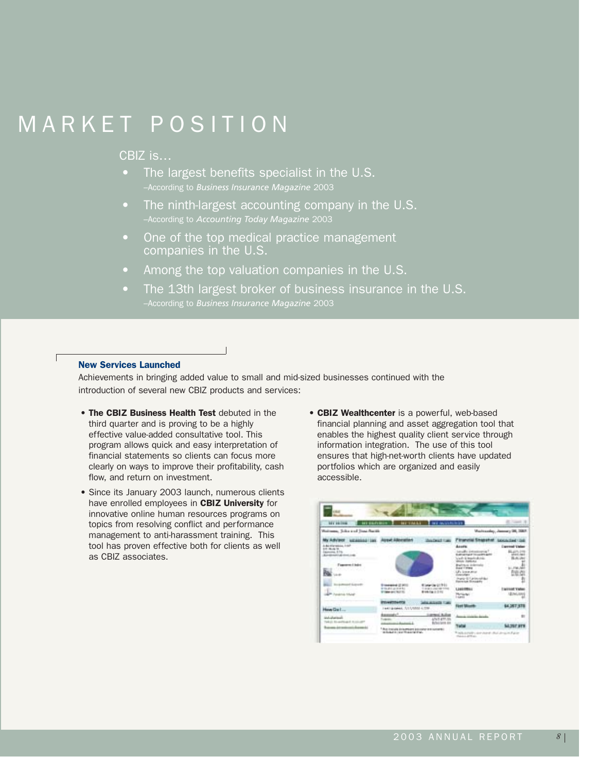# MARKET POSITION

### CBIZ is…

- The largest benefits specialist in the U.S. –According to *Business Insurance Magazine* 2003
- The ninth-largest accounting company in the U.S. –According to *Accounting Today Magazine* 2003
- One of the top medical practice management companies in the U.S.
- Among the top valuation companies in the U.S.
- The 13th largest broker of business insurance in the U.S. –According to *Business Insurance Magazine* 2003

### New Services Launched

Achievements in bringing added value to small and mid-sized businesses continued with the introduction of several new CBIZ products and services:

- The CBIZ Business Health Test debuted in the third quarter and is proving to be a highly effective value-added consultative tool. This program allows quick and easy interpretation of financial statements so clients can focus more clearly on ways to improve their profitability, cash flow, and return on investment.
- Since its January 2003 launch, numerous clients have enrolled employees in CBIZ University for innovative online human resources programs on topics from resolving conflict and performance management to anti-harassment training. This tool has proven effective both for clients as well as CBIZ associates.
- CBIZ Wealthcenter is a powerful, web-based financial planning and asset aggregation tool that enables the highest quality client service through information integration. The use of this tool ensures that high-net-worth clients have updated portfolios which are organized and easily accessible.

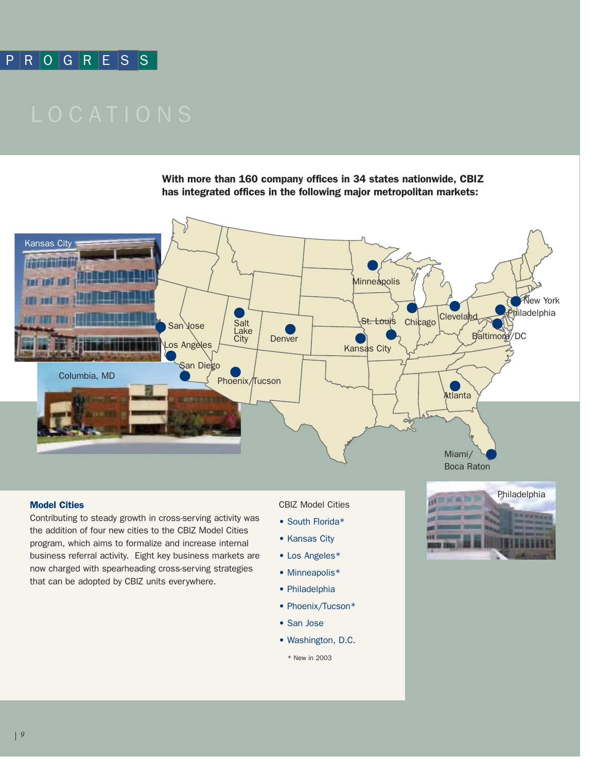### PROGRESS

With more than 160 company offices in 34 states nationwide, CBIZ has integrated offices in the following major metropolitan markets:



### Model Cities

Contributing to steady growth in cross-serving activity was the addition of four new cities to the CBIZ Model Cities program, which aims to formalize and increase internal business referral activity. Eight key business markets are now charged with spearheading cross-serving strategies that can be adopted by CBIZ units everywhere.

CBIZ Model Cities

- South Florida\*
- Kansas City
- Los Angeles\*
- Minneapolis\*
- Philadelphia
- Phoenix/Tucson\*
- San Jose
- Washington, D.C.
	- \* New in 2003

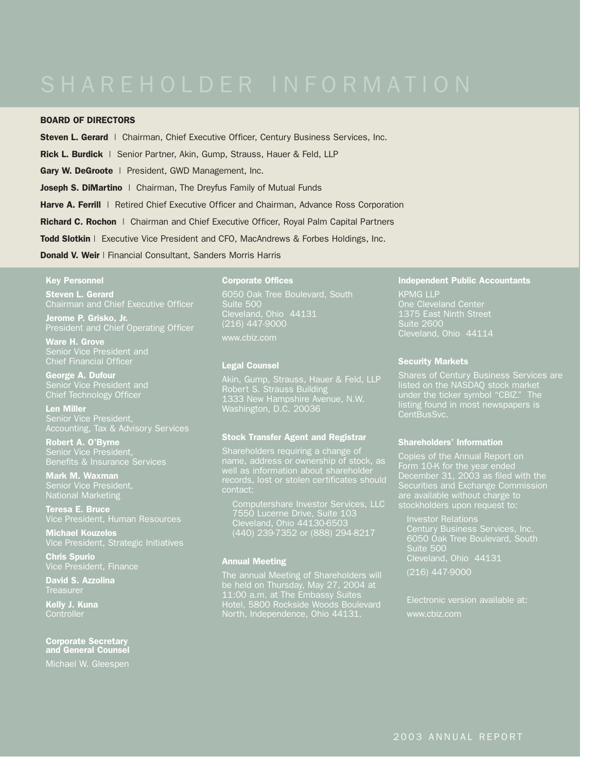### BOARD OF DIRECTORS

Steven L. Gerard | Chairman, Chief Executive Officer, Century Business Services, Inc.

Rick L. Burdick | Senior Partner, Akin, Gump, Strauss, Hauer & Feld, LLP

Gary W. DeGroote | President, GWD Management, Inc.

Joseph S. DiMartino | Chairman, The Dreyfus Family of Mutual Funds

**Harve A. Ferrill** | Retired Chief Executive Officer and Chairman, Advance Ross Corporation

**Richard C. Rochon** | Chairman and Chief Executive Officer, Royal Palm Capital Partners

Todd Slotkin | Executive Vice President and CFO, MacAndrews & Forbes Holdings, Inc.

### Donald V. Weir | Financial Consultant, Sanders Morris Harris

### Key Personnel

**Steven L. Gerard** Chairman and Chief Executive Officer

Jerome P. Grisko, Jr. President and Chief Operating Officer

Ware H. Grove Chief Financial Officer

George A. Dufour Chief Technology Officer

Len Miller Accounting, Tax & Advisory Services

Robert A. O'Byrne Senior Vice President,

Mark M. Waxman National Marketing

Teresa E. Bruce

Michael Kouzelos Vice President, Strategic Initiatives

Chris Spurio

David S. Azzolina **Treasurer** 

Kelly J. Kuna **Controller** 

Corporate Secretary and General Counsel

Michael W. Gleespen

### Corporate Offices

6050 Oak Tree Boulevard, South Suite 500 (216) 447-9000 www.cbiz.com

#### Legal Counsel

1333 New Hampshire Avenue, N.W. Washington, D.C. 20036

#### Stock Transfer Agent and Registrar

Shareholders requiring a change of name, address or ownership of stock, as contact:

7550 Lucerne Drive, Suite 103 Cleveland, Ohio 44130-6503 (440) 239-7352 or (888) 294-8217

### Annual Meeting

The annual Meeting of Shareholders will be held on Thursday, May 27, 2004 at 11:00 a.m. at The Embassy Suites Hotel, 5800 Rockside Woods Boulevard North, Independence, Ohio 44131.

### Independent Public Accountants

KPMG LLP Suite 2600

### Security Markets

listed on the NASDAQ stock market under the ticker symbol "CBIZ." The listing found in most newspapers is CentBusSvc.

### Shareholders' Information

Copies of the Annual Report on Form 10-K for the year ended December 31, 2003 as filed with the Securities and Exchange Commission are available without charge to

6050 Oak Tree Boulevard, South Suite 500 Cleveland, Ohio 44131 (216) 447-9000

Electronic version available at: www.cbiz.com